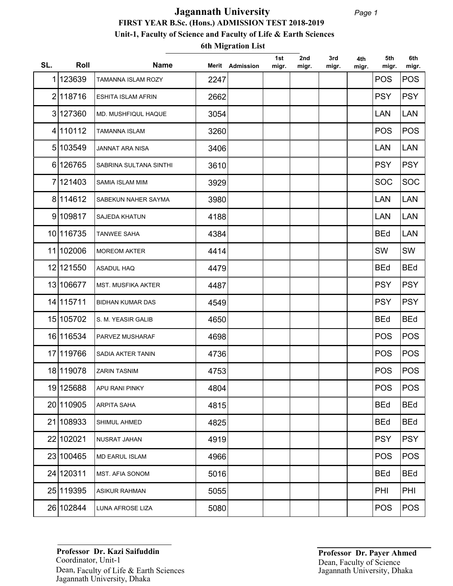## **FIRST YEAR B.Sc. (Hons.) ADMISSION TEST 2018-2019 Unit-1, Faculty of Science and Faculty of Life & Earth Sciences Jagannath University**

**6th Migration List**

| SL. | Roll       | <b>Name</b>               |      | Merit Admission | 1st<br>migr. | 2nd<br>migr. | 3rd<br>migr. | 4th<br>migr. | 5th<br>migr. | 6th<br>migr. |
|-----|------------|---------------------------|------|-----------------|--------------|--------------|--------------|--------------|--------------|--------------|
|     | 1 123639   | TAMANNA ISLAM ROZY        | 2247 |                 |              |              |              |              | <b>POS</b>   | <b>POS</b>   |
|     | 2 118716   | <b>ESHITA ISLAM AFRIN</b> | 2662 |                 |              |              |              |              | <b>PSY</b>   | <b>PSY</b>   |
|     | 3 127360   | MD. MUSHFIQUL HAQUE       | 3054 |                 |              |              |              |              | <b>LAN</b>   | <b>LAN</b>   |
|     | 4 110112   | <b>TAMANNA ISLAM</b>      | 3260 |                 |              |              |              |              | <b>POS</b>   | <b>POS</b>   |
|     | 5 103549   | JANNAT ARA NISA           | 3406 |                 |              |              |              |              | <b>LAN</b>   | <b>LAN</b>   |
|     | 6 126765   | SABRINA SULTANA SINTHI    | 3610 |                 |              |              |              |              | <b>PSY</b>   | <b>PSY</b>   |
|     | 7 121403   | SAMIA ISLAM MIM           | 3929 |                 |              |              |              |              | <b>SOC</b>   | <b>SOC</b>   |
|     | 8 114 612  | SABEKUN NAHER SAYMA       | 3980 |                 |              |              |              |              | <b>LAN</b>   | <b>LAN</b>   |
|     | 9 109817   | SAJEDA KHATUN             | 4188 |                 |              |              |              |              | <b>LAN</b>   | <b>LAN</b>   |
|     | 10 116735  | <b>TANWEE SAHA</b>        | 4384 |                 |              |              |              |              | <b>BEd</b>   | <b>LAN</b>   |
|     | 11 102006  | <b>MOREOM AKTER</b>       | 4414 |                 |              |              |              |              | SW           | SW           |
|     | 12 12 1550 | <b>ASADUL HAQ</b>         | 4479 |                 |              |              |              |              | <b>BEd</b>   | <b>BEd</b>   |
|     | 13 106677  | <b>MST. MUSFIKA AKTER</b> | 4487 |                 |              |              |              |              | <b>PSY</b>   | <b>PSY</b>   |
|     | 14 115711  | <b>BIDHAN KUMAR DAS</b>   | 4549 |                 |              |              |              |              | <b>PSY</b>   | <b>PSY</b>   |
|     | 15 105702  | S. M. YEASIR GALIB        | 4650 |                 |              |              |              |              | <b>BEd</b>   | <b>BEd</b>   |
|     | 16 116534  | PARVEZ MUSHARAF           | 4698 |                 |              |              |              |              | <b>POS</b>   | <b>POS</b>   |
|     | 17 119766  | <b>SADIA AKTER TANIN</b>  | 4736 |                 |              |              |              |              | <b>POS</b>   | <b>POS</b>   |
|     | 18 119078  | <b>ZARIN TASNIM</b>       | 4753 |                 |              |              |              |              | <b>POS</b>   | <b>POS</b>   |
|     | 19 125688  | APU RANI PINKY            | 4804 |                 |              |              |              |              | <b>POS</b>   | POS          |
|     | 20 110905  | ARPITA SAHA               | 4815 |                 |              |              |              |              | <b>BEd</b>   | <b>BEd</b>   |
|     | 21 108933  | SHIMUL AHMED              | 4825 |                 |              |              |              |              | <b>BEd</b>   | <b>BEd</b>   |
|     | 22 102021  | NUSRAT JAHAN              | 4919 |                 |              |              |              |              | <b>PSY</b>   | <b>PSY</b>   |
|     | 23 100465  | <b>MD EARUL ISLAM</b>     | 4966 |                 |              |              |              |              | <b>POS</b>   | <b>POS</b>   |
|     | 24 120311  | MST. AFIA SONOM           | 5016 |                 |              |              |              |              | <b>BEd</b>   | <b>BEd</b>   |
|     | 25 119395  | <b>ASIKUR RAHMAN</b>      | 5055 |                 |              |              |              |              | PHI          | PHI          |
|     | 26 102844  | LUNA AFROSE LIZA          | 5080 |                 |              |              |              |              | <b>POS</b>   | <b>POS</b>   |

Coordinator, Unit-1 Dean, Faculty of Life & Earth Sciences **Professor Dr. Kazi Saifuddin** Jagannath University, Dhaka

**Professor Dr. Payer Ahmed**  Jagannath University, Dhaka Dean, Faculty of Science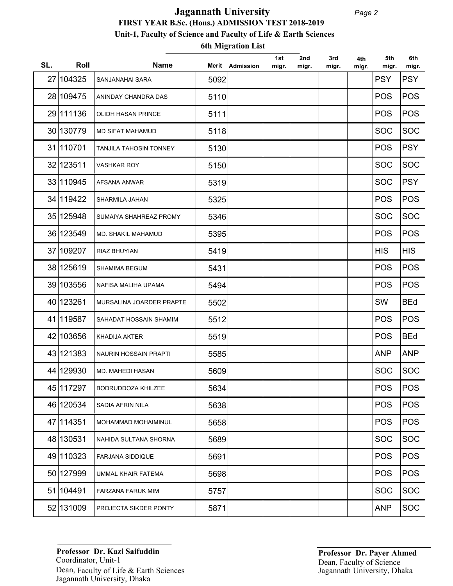## **FIRST YEAR B.Sc. (Hons.) ADMISSION TEST 2018-2019 Unit-1, Faculty of Science and Faculty of Life & Earth Sciences Jagannath University**

**6th Migration List**

| SL. | Roll      | <b>Name</b>                   |      | Merit Admission | 1st<br>migr. | 2nd<br>migr. | 3rd<br>migr. | 4th<br>migr. | 5th<br>migr. | 6th<br>migr. |
|-----|-----------|-------------------------------|------|-----------------|--------------|--------------|--------------|--------------|--------------|--------------|
|     | 27 104325 | SANJANAHAI SARA               | 5092 |                 |              |              |              |              | <b>PSY</b>   | <b>PSY</b>   |
|     | 28 109475 | ANINDAY CHANDRA DAS           | 5110 |                 |              |              |              |              | <b>POS</b>   | <b>POS</b>   |
|     | 29 111136 | OLIDH HASAN PRINCE            | 5111 |                 |              |              |              |              | <b>POS</b>   | <b>POS</b>   |
|     | 30 130779 | <b>MD SIFAT MAHAMUD</b>       | 5118 |                 |              |              |              |              | <b>SOC</b>   | <b>SOC</b>   |
|     | 31 110701 | <b>TANJILA TAHOSIN TONNEY</b> | 5130 |                 |              |              |              |              | <b>POS</b>   | <b>PSY</b>   |
|     | 32 123511 | <b>VASHKAR ROY</b>            | 5150 |                 |              |              |              |              | <b>SOC</b>   | <b>SOC</b>   |
|     | 33 110945 | AFSANA ANWAR                  | 5319 |                 |              |              |              |              | <b>SOC</b>   | <b>PSY</b>   |
|     | 34 119422 | SHARMILA JAHAN                | 5325 |                 |              |              |              |              | <b>POS</b>   | <b>POS</b>   |
|     | 35 125948 | SUMAIYA SHAHREAZ PROMY        | 5346 |                 |              |              |              |              | <b>SOC</b>   | <b>SOC</b>   |
|     | 36 123549 | MD. SHAKIL MAHAMUD            | 5395 |                 |              |              |              |              | <b>POS</b>   | <b>POS</b>   |
|     | 37 109207 | RIAZ BHUYIAN                  | 5419 |                 |              |              |              |              | <b>HIS</b>   | <b>HIS</b>   |
|     | 38 125619 | <b>SHAMIMA BEGUM</b>          | 5431 |                 |              |              |              |              | <b>POS</b>   | <b>POS</b>   |
|     | 39 103556 | NAFISA MALIHA UPAMA           | 5494 |                 |              |              |              |              | <b>POS</b>   | <b>POS</b>   |
|     | 40 123261 | MURSALINA JOARDER PRAPTE      | 5502 |                 |              |              |              |              | SW           | <b>BEd</b>   |
|     | 41 119587 | SAHADAT HOSSAIN SHAMIM        | 5512 |                 |              |              |              |              | <b>POS</b>   | <b>POS</b>   |
|     | 42 103656 | <b>KHADIJA AKTER</b>          | 5519 |                 |              |              |              |              | <b>POS</b>   | <b>BEd</b>   |
|     | 43 121383 | NAURIN HOSSAIN PRAPTI         | 5585 |                 |              |              |              |              | <b>ANP</b>   | <b>ANP</b>   |
|     | 44 129930 | <b>MD. MAHEDI HASAN</b>       | 5609 |                 |              |              |              |              | <b>SOC</b>   | <b>SOC</b>   |
|     | 45 117297 | <b>BODRUDDOZA KHILZEE</b>     | 5634 |                 |              |              |              |              | <b>POS</b>   | POS          |
|     | 46 120534 | <b>SADIA AFRIN NILA</b>       | 5638 |                 |              |              |              |              | <b>POS</b>   | <b>POS</b>   |
|     | 47 114351 | MOHAMMAD MOHAIMINUL           | 5658 |                 |              |              |              |              | <b>POS</b>   | <b>POS</b>   |
|     | 48 130531 | NAHIDA SULTANA SHORNA         | 5689 |                 |              |              |              |              | <b>SOC</b>   | <b>SOC</b>   |
|     | 49 110323 | <b>FARJANA SIDDIQUE</b>       | 5691 |                 |              |              |              |              | <b>POS</b>   | <b>POS</b>   |
|     | 50 127999 | UMMAL KHAIR FATEMA            | 5698 |                 |              |              |              |              | <b>POS</b>   | <b>POS</b>   |
|     | 51 104491 | <b>FARZANA FARUK MIM</b>      | 5757 |                 |              |              |              |              | <b>SOC</b>   | <b>SOC</b>   |
|     | 52 131009 | PROJECTA SIKDER PONTY         | 5871 |                 |              |              |              |              | <b>ANP</b>   | <b>SOC</b>   |

Coordinator, Unit-1 Dean, Faculty of Life & Earth Sciences **Professor Dr. Kazi Saifuddin** Jagannath University, Dhaka

**Professor Dr. Payer Ahmed**  Jagannath University, Dhaka Dean, Faculty of Science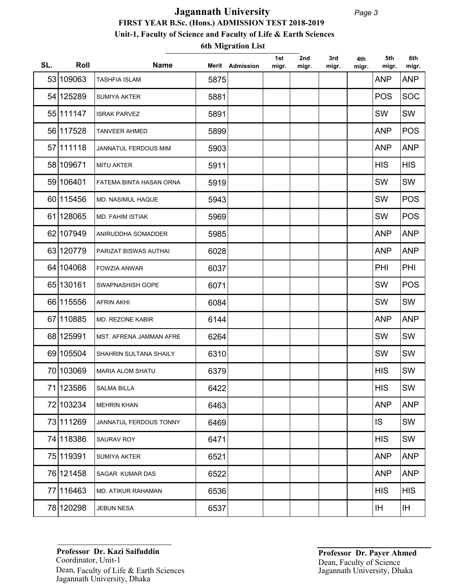## **FIRST YEAR B.Sc. (Hons.) ADMISSION TEST 2018-2019 Unit-1, Faculty of Science and Faculty of Life & Earth Sciences Jagannath University**

**6th Migration List**

| SL. | Roll       | <b>Name</b>             |      | Merit Admission | 1st<br>migr. | 2nd<br>migr. | 3rd<br>migr. | 4th<br>migr. | 5th<br>migr. | 6th<br>migr. |
|-----|------------|-------------------------|------|-----------------|--------------|--------------|--------------|--------------|--------------|--------------|
|     | 53 109063  | <b>TASHFIA ISLAM</b>    | 5875 |                 |              |              |              |              | <b>ANP</b>   | <b>ANP</b>   |
|     | 54 125289  | <b>SUMIYA AKTER</b>     | 5881 |                 |              |              |              |              | <b>POS</b>   | <b>SOC</b>   |
|     | 55 111147  | <b>ISRAK PARVEZ</b>     | 5891 |                 |              |              |              |              | SW           | SW           |
|     | 56 117528  | <b>TANVEER AHMED</b>    | 5899 |                 |              |              |              |              | <b>ANP</b>   | <b>POS</b>   |
|     | 57 111118  | JANNATUL FERDOUS MIM    | 5903 |                 |              |              |              |              | <b>ANP</b>   | <b>ANP</b>   |
|     | 58 109671  | <b>MITU AKTER</b>       | 5911 |                 |              |              |              |              | <b>HIS</b>   | <b>HIS</b>   |
|     | 59 106401  | FATEMA BINTA HASAN ORNA | 5919 |                 |              |              |              |              | SW           | SW           |
|     | 60 115456  | MD. NASIMUL HAQUE       | 5943 |                 |              |              |              |              | SW           | <b>POS</b>   |
|     | 61 1280 65 | <b>MD. FAHIM ISTIAK</b> | 5969 |                 |              |              |              |              | SW           | <b>POS</b>   |
|     | 62 107949  | ANIRUDDHA SOMADDER      | 5985 |                 |              |              |              |              | <b>ANP</b>   | <b>ANP</b>   |
|     | 63 120779  | PARIZAT BISWAS AUTHAI   | 6028 |                 |              |              |              |              | <b>ANP</b>   | <b>ANP</b>   |
|     | 64 104068  | <b>FOWZIA ANWAR</b>     | 6037 |                 |              |              |              |              | PHI          | PHI          |
|     | 65 130161  | SWAPNASHISH GOPE        | 6071 |                 |              |              |              |              | SW           | <b>POS</b>   |
|     | 66 115556  | <b>AFRIN AKHI</b>       | 6084 |                 |              |              |              |              | SW           | SW           |
|     | 67 110885  | MD. REZONE KABIR        | 6144 |                 |              |              |              |              | <b>ANP</b>   | <b>ANP</b>   |
|     | 68 125991  | MST. AFRENA JAMMAN AFRE | 6264 |                 |              |              |              |              | SW           | SW           |
|     | 69 105504  | SHAHRIN SULTANA SHAILY  | 6310 |                 |              |              |              |              | SW           | SW           |
|     | 70 103069  | <b>MARIA ALOM SHATU</b> | 6379 |                 |              |              |              |              | <b>HIS</b>   | SW           |
|     | 71 123586  | <b>SALMA BILLA</b>      | 6422 |                 |              |              |              |              | <b>HIS</b>   | SW           |
|     | 72 103234  | <b>MEHRIN KHAN</b>      | 6463 |                 |              |              |              |              | <b>ANP</b>   | <b>ANP</b>   |
|     | 73 111269  | JANNATUL FERDOUS TONNY  | 6469 |                 |              |              |              |              | IS           | SW           |
|     | 74 118386  | SAURAV ROY              | 6471 |                 |              |              |              |              | <b>HIS</b>   | SW           |
|     | 75 119391  | SUMIYA AKTER            | 6521 |                 |              |              |              |              | <b>ANP</b>   | <b>ANP</b>   |
|     | 76 121458  | SAGAR KUMAR DAS         | 6522 |                 |              |              |              |              | <b>ANP</b>   | <b>ANP</b>   |
|     | 77 116463  | MD. ATIKUR RAHAMAN      | 6536 |                 |              |              |              |              | <b>HIS</b>   | <b>HIS</b>   |
|     | 78 120298  | <b>JEBUN NESA</b>       | 6537 |                 |              |              |              |              | ΙH           | IH.          |

Coordinator, Unit-1 Dean, Faculty of Life & Earth Sciences **Professor Dr. Kazi Saifuddin** Jagannath University, Dhaka

**Professor Dr. Payer Ahmed**  Jagannath University, Dhaka Dean, Faculty of Science